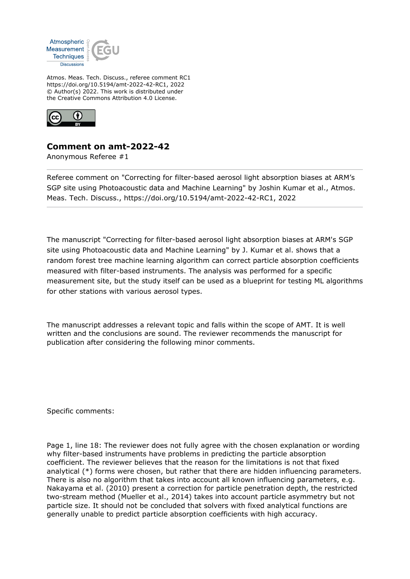

Atmos. Meas. Tech. Discuss., referee comment RC1 https://doi.org/10.5194/amt-2022-42-RC1, 2022 © Author(s) 2022. This work is distributed under the Creative Commons Attribution 4.0 License.



## **Comment on amt-2022-42**

Anonymous Referee #1

Referee comment on "Correcting for filter-based aerosol light absorption biases at ARM's SGP site using Photoacoustic data and Machine Learning" by Joshin Kumar et al., Atmos. Meas. Tech. Discuss., https://doi.org/10.5194/amt-2022-42-RC1, 2022

The manuscript "Correcting for filter-based aerosol light absorption biases at ARM's SGP site using Photoacoustic data and Machine Learning" by J. Kumar et al. shows that a random forest tree machine learning algorithm can correct particle absorption coefficients measured with filter-based instruments. The analysis was performed for a specific measurement site, but the study itself can be used as a blueprint for testing ML algorithms for other stations with various aerosol types.

The manuscript addresses a relevant topic and falls within the scope of AMT. It is well written and the conclusions are sound. The reviewer recommends the manuscript for publication after considering the following minor comments.

Specific comments:

Page 1, line 18: The reviewer does not fully agree with the chosen explanation or wording why filter-based instruments have problems in predicting the particle absorption coefficient. The reviewer believes that the reason for the limitations is not that fixed analytical (\*) forms were chosen, but rather that there are hidden influencing parameters. There is also no algorithm that takes into account all known influencing parameters, e.g. Nakayama et al. (2010) present a correction for particle penetration depth, the restricted two-stream method (Mueller et al., 2014) takes into account particle asymmetry but not particle size. It should not be concluded that solvers with fixed analytical functions are generally unable to predict particle absorption coefficients with high accuracy.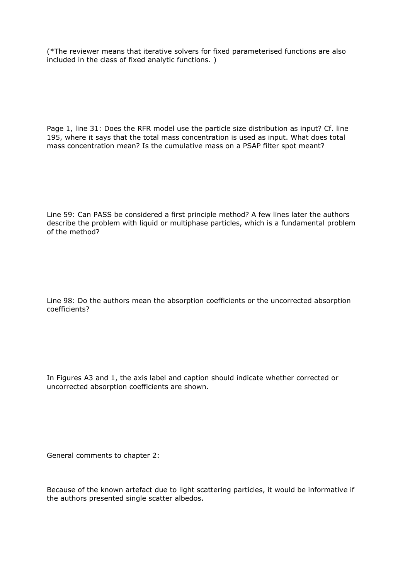(\*The reviewer means that iterative solvers for fixed parameterised functions are also included in the class of fixed analytic functions. )

Page 1, line 31: Does the RFR model use the particle size distribution as input? Cf. line 195, where it says that the total mass concentration is used as input. What does total mass concentration mean? Is the cumulative mass on a PSAP filter spot meant?

Line 59: Can PASS be considered a first principle method? A few lines later the authors describe the problem with liquid or multiphase particles, which is a fundamental problem of the method?

Line 98: Do the authors mean the absorption coefficients or the uncorrected absorption coefficients?

In Figures A3 and 1, the axis label and caption should indicate whether corrected or uncorrected absorption coefficients are shown.

General comments to chapter 2:

Because of the known artefact due to light scattering particles, it would be informative if the authors presented single scatter albedos.